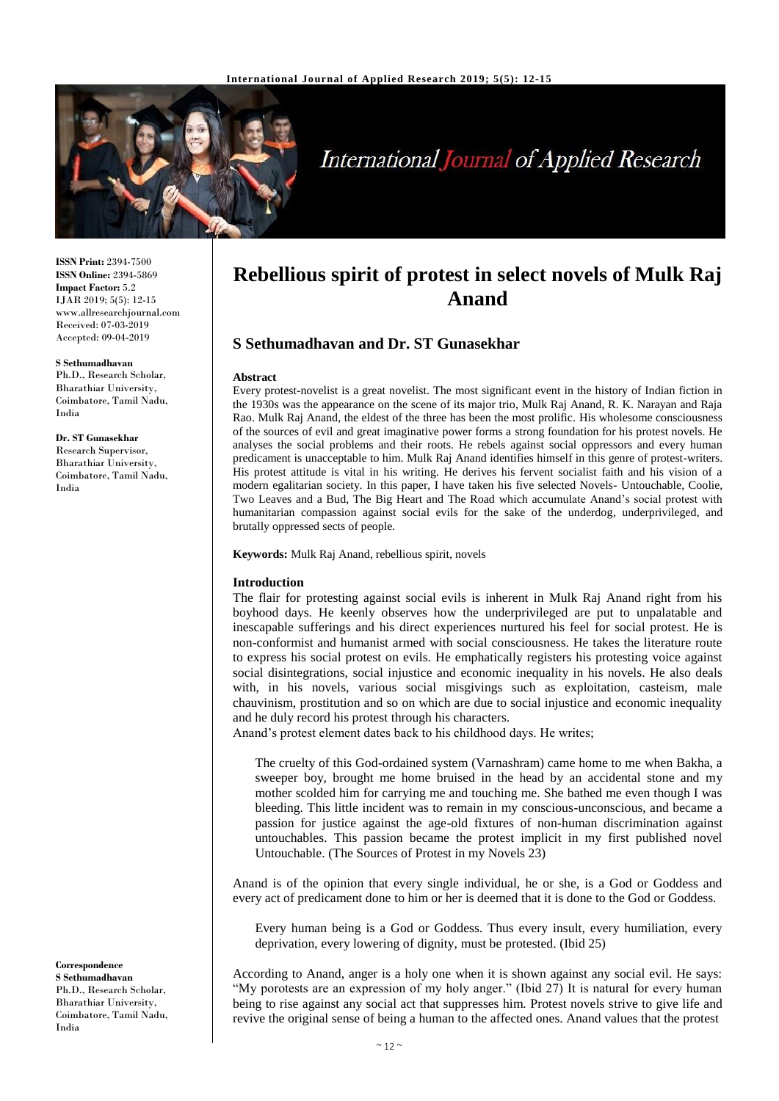

# **International Journal of Applied Research**

**ISSN Print:** 2394-7500 **ISSN Online:** 2394-5869 **Impact Factor:** 5.2 IJAR 2019; 5(5): 12-15 www.allresearchjournal.com Received: 07-03-2019 Accepted: 09-04-2019

#### **S Sethumadhavan**

Ph.D., Research Scholar, Bharathiar University, Coimbatore, Tamil Nadu, India

**Dr. ST Gunasekhar** Research Supervisor, Bharathiar University, Coimbatore, Tamil Nadu,

India

**Correspondence S Sethumadhavan** Ph.D., Research Scholar, Bharathiar University, Coimbatore, Tamil Nadu, India

## **Rebellious spirit of protest in select novels of Mulk Raj Anand**

## **S Sethumadhavan and Dr. ST Gunasekhar**

#### **Abstract**

Every protest-novelist is a great novelist. The most significant event in the history of Indian fiction in the 1930s was the appearance on the scene of its major trio, Mulk Raj Anand, R. K. Narayan and Raja Rao. Mulk Raj Anand, the eldest of the three has been the most prolific. His wholesome consciousness of the sources of evil and great imaginative power forms a strong foundation for his protest novels. He analyses the social problems and their roots. He rebels against social oppressors and every human predicament is unacceptable to him. Mulk Raj Anand identifies himself in this genre of protest-writers. His protest attitude is vital in his writing. He derives his fervent socialist faith and his vision of a modern egalitarian society. In this paper, I have taken his five selected Novels- Untouchable, Coolie, Two Leaves and a Bud, The Big Heart and The Road which accumulate Anand's social protest with humanitarian compassion against social evils for the sake of the underdog, underprivileged, and brutally oppressed sects of people.

**Keywords:** Mulk Raj Anand, rebellious spirit, novels

### **Introduction**

The flair for protesting against social evils is inherent in Mulk Raj Anand right from his boyhood days. He keenly observes how the underprivileged are put to unpalatable and inescapable sufferings and his direct experiences nurtured his feel for social protest. He is non-conformist and humanist armed with social consciousness. He takes the literature route to express his social protest on evils. He emphatically registers his protesting voice against social disintegrations, social injustice and economic inequality in his novels. He also deals with, in his novels, various social misgivings such as exploitation, casteism, male chauvinism, prostitution and so on which are due to social injustice and economic inequality and he duly record his protest through his characters.

Anand's protest element dates back to his childhood days. He writes;

The cruelty of this God-ordained system (Varnashram) came home to me when Bakha, a sweeper boy, brought me home bruised in the head by an accidental stone and my mother scolded him for carrying me and touching me. She bathed me even though I was bleeding. This little incident was to remain in my conscious-unconscious, and became a passion for justice against the age-old fixtures of non-human discrimination against untouchables. This passion became the protest implicit in my first published novel Untouchable. (The Sources of Protest in my Novels 23)

Anand is of the opinion that every single individual, he or she, is a God or Goddess and every act of predicament done to him or her is deemed that it is done to the God or Goddess.

Every human being is a God or Goddess. Thus every insult, every humiliation, every deprivation, every lowering of dignity, must be protested. (Ibid 25)

According to Anand, anger is a holy one when it is shown against any social evil. He says: "My porotests are an expression of my holy anger." (Ibid 27) It is natural for every human being to rise against any social act that suppresses him. Protest novels strive to give life and revive the original sense of being a human to the affected ones. Anand values that the protest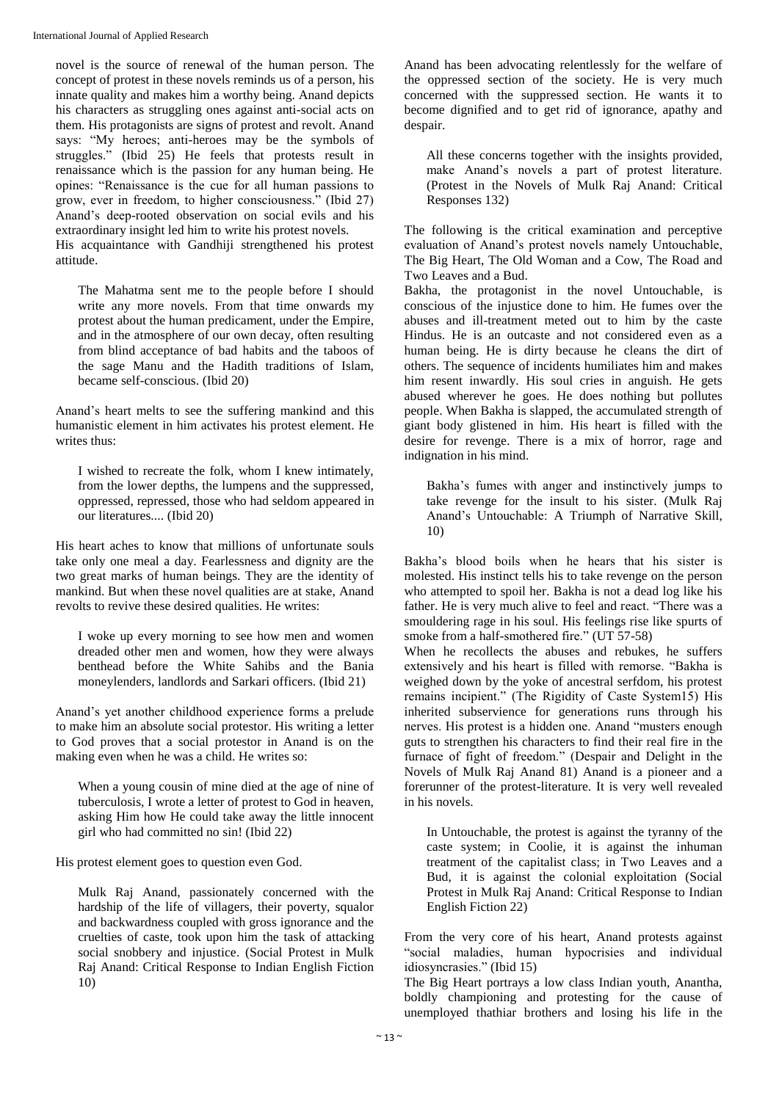novel is the source of renewal of the human person. The concept of protest in these novels reminds us of a person, his innate quality and makes him a worthy being. Anand depicts his characters as struggling ones against anti-social acts on them. His protagonists are signs of protest and revolt. Anand says: "My heroes; anti-heroes may be the symbols of struggles." (Ibid 25) He feels that protests result in renaissance which is the passion for any human being. He opines: "Renaissance is the cue for all human passions to grow, ever in freedom, to higher consciousness." (Ibid 27) Anand's deep-rooted observation on social evils and his extraordinary insight led him to write his protest novels.

His acquaintance with Gandhiji strengthened his protest attitude.

The Mahatma sent me to the people before I should write any more novels. From that time onwards my protest about the human predicament, under the Empire, and in the atmosphere of our own decay, often resulting from blind acceptance of bad habits and the taboos of the sage Manu and the Hadith traditions of Islam, became self-conscious. (Ibid 20)

Anand's heart melts to see the suffering mankind and this humanistic element in him activates his protest element. He writes thus:

I wished to recreate the folk, whom I knew intimately, from the lower depths, the lumpens and the suppressed, oppressed, repressed, those who had seldom appeared in our literatures.... (Ibid 20)

His heart aches to know that millions of unfortunate souls take only one meal a day. Fearlessness and dignity are the two great marks of human beings. They are the identity of mankind. But when these novel qualities are at stake, Anand revolts to revive these desired qualities. He writes:

I woke up every morning to see how men and women dreaded other men and women, how they were always benthead before the White Sahibs and the Bania moneylenders, landlords and Sarkari officers. (Ibid 21)

Anand's yet another childhood experience forms a prelude to make him an absolute social protestor. His writing a letter to God proves that a social protestor in Anand is on the making even when he was a child. He writes so:

When a young cousin of mine died at the age of nine of tuberculosis, I wrote a letter of protest to God in heaven, asking Him how He could take away the little innocent girl who had committed no sin! (Ibid 22)

His protest element goes to question even God.

Mulk Raj Anand, passionately concerned with the hardship of the life of villagers, their poverty, squalor and backwardness coupled with gross ignorance and the cruelties of caste, took upon him the task of attacking social snobbery and injustice. (Social Protest in Mulk Raj Anand: Critical Response to Indian English Fiction 10)

Anand has been advocating relentlessly for the welfare of the oppressed section of the society. He is very much concerned with the suppressed section. He wants it to become dignified and to get rid of ignorance, apathy and despair.

All these concerns together with the insights provided, make Anand's novels a part of protest literature. (Protest in the Novels of Mulk Raj Anand: Critical Responses 132)

The following is the critical examination and perceptive evaluation of Anand's protest novels namely Untouchable, The Big Heart, The Old Woman and a Cow, The Road and Two Leaves and a Bud.

Bakha, the protagonist in the novel Untouchable, is conscious of the injustice done to him. He fumes over the abuses and ill-treatment meted out to him by the caste Hindus. He is an outcaste and not considered even as a human being. He is dirty because he cleans the dirt of others. The sequence of incidents humiliates him and makes him resent inwardly. His soul cries in anguish. He gets abused wherever he goes. He does nothing but pollutes people. When Bakha is slapped, the accumulated strength of giant body glistened in him. His heart is filled with the desire for revenge. There is a mix of horror, rage and indignation in his mind.

Bakha's fumes with anger and instinctively jumps to take revenge for the insult to his sister. (Mulk Raj Anand's Untouchable: A Triumph of Narrative Skill, 10)

Bakha's blood boils when he hears that his sister is molested. His instinct tells his to take revenge on the person who attempted to spoil her. Bakha is not a dead log like his father. He is very much alive to feel and react. "There was a smouldering rage in his soul. His feelings rise like spurts of smoke from a half-smothered fire." (UT 57-58)

When he recollects the abuses and rebukes, he suffers extensively and his heart is filled with remorse. "Bakha is weighed down by the yoke of ancestral serfdom, his protest remains incipient." (The Rigidity of Caste System15) His inherited subservience for generations runs through his nerves. His protest is a hidden one. Anand "musters enough guts to strengthen his characters to find their real fire in the furnace of fight of freedom." (Despair and Delight in the Novels of Mulk Raj Anand 81) Anand is a pioneer and a forerunner of the protest-literature. It is very well revealed in his novels.

In Untouchable, the protest is against the tyranny of the caste system; in Coolie, it is against the inhuman treatment of the capitalist class; in Two Leaves and a Bud, it is against the colonial exploitation (Social Protest in Mulk Raj Anand: Critical Response to Indian English Fiction 22)

From the very core of his heart, Anand protests against "social maladies, human hypocrisies and individual idiosyncrasies." (Ibid 15)

The Big Heart portrays a low class Indian youth, Anantha, boldly championing and protesting for the cause of unemployed thathiar brothers and losing his life in the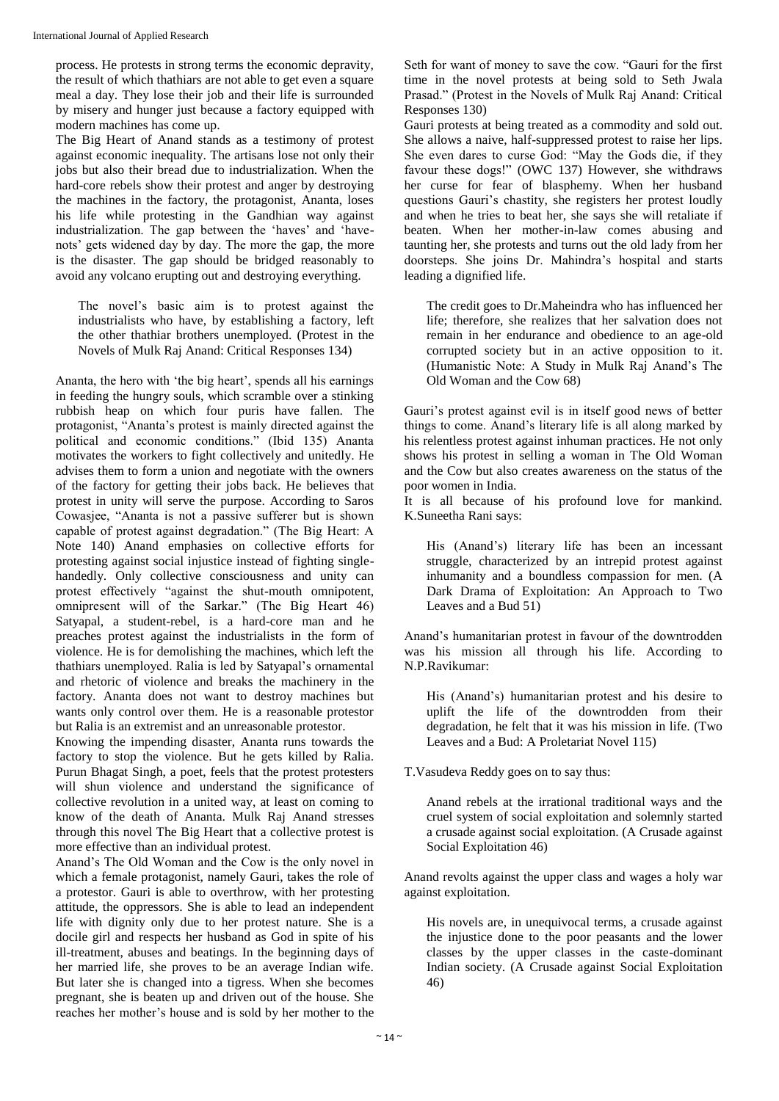process. He protests in strong terms the economic depravity, the result of which thathiars are not able to get even a square meal a day. They lose their job and their life is surrounded by misery and hunger just because a factory equipped with modern machines has come up.

The Big Heart of Anand stands as a testimony of protest against economic inequality. The artisans lose not only their jobs but also their bread due to industrialization. When the hard-core rebels show their protest and anger by destroying the machines in the factory, the protagonist, Ananta, loses his life while protesting in the Gandhian way against industrialization. The gap between the 'haves' and 'havenots' gets widened day by day. The more the gap, the more is the disaster. The gap should be bridged reasonably to avoid any volcano erupting out and destroying everything.

The novel's basic aim is to protest against the industrialists who have, by establishing a factory, left the other thathiar brothers unemployed. (Protest in the Novels of Mulk Raj Anand: Critical Responses 134)

Ananta, the hero with 'the big heart', spends all his earnings in feeding the hungry souls, which scramble over a stinking rubbish heap on which four puris have fallen. The protagonist, "Ananta's protest is mainly directed against the political and economic conditions." (Ibid 135) Ananta motivates the workers to fight collectively and unitedly. He advises them to form a union and negotiate with the owners of the factory for getting their jobs back. He believes that protest in unity will serve the purpose. According to Saros Cowasjee, "Ananta is not a passive sufferer but is shown capable of protest against degradation." (The Big Heart: A Note 140) Anand emphasies on collective efforts for protesting against social injustice instead of fighting singlehandedly. Only collective consciousness and unity can protest effectively "against the shut-mouth omnipotent, omnipresent will of the Sarkar." (The Big Heart 46) Satyapal, a student-rebel, is a hard-core man and he preaches protest against the industrialists in the form of violence. He is for demolishing the machines, which left the thathiars unemployed. Ralia is led by Satyapal's ornamental and rhetoric of violence and breaks the machinery in the factory. Ananta does not want to destroy machines but wants only control over them. He is a reasonable protestor but Ralia is an extremist and an unreasonable protestor.

Knowing the impending disaster, Ananta runs towards the factory to stop the violence. But he gets killed by Ralia. Purun Bhagat Singh, a poet, feels that the protest protesters will shun violence and understand the significance of collective revolution in a united way, at least on coming to know of the death of Ananta. Mulk Raj Anand stresses through this novel The Big Heart that a collective protest is more effective than an individual protest.

Anand's The Old Woman and the Cow is the only novel in which a female protagonist, namely Gauri, takes the role of a protestor. Gauri is able to overthrow, with her protesting attitude, the oppressors. She is able to lead an independent life with dignity only due to her protest nature. She is a docile girl and respects her husband as God in spite of his ill-treatment, abuses and beatings. In the beginning days of her married life, she proves to be an average Indian wife. But later she is changed into a tigress. When she becomes pregnant, she is beaten up and driven out of the house. She reaches her mother's house and is sold by her mother to the

Seth for want of money to save the cow. "Gauri for the first time in the novel protests at being sold to Seth Jwala Prasad." (Protest in the Novels of Mulk Raj Anand: Critical Responses 130)

Gauri protests at being treated as a commodity and sold out. She allows a naive, half-suppressed protest to raise her lips. She even dares to curse God: "May the Gods die, if they favour these dogs!" (OWC 137) However, she withdraws her curse for fear of blasphemy. When her husband questions Gauri's chastity, she registers her protest loudly and when he tries to beat her, she says she will retaliate if beaten. When her mother-in-law comes abusing and taunting her, she protests and turns out the old lady from her doorsteps. She joins Dr. Mahindra's hospital and starts leading a dignified life.

The credit goes to Dr.Maheindra who has influenced her life; therefore, she realizes that her salvation does not remain in her endurance and obedience to an age-old corrupted society but in an active opposition to it. (Humanistic Note: A Study in Mulk Raj Anand's The Old Woman and the Cow 68)

Gauri's protest against evil is in itself good news of better things to come. Anand's literary life is all along marked by his relentless protest against inhuman practices. He not only shows his protest in selling a woman in The Old Woman and the Cow but also creates awareness on the status of the poor women in India.

It is all because of his profound love for mankind. K.Suneetha Rani says:

His (Anand's) literary life has been an incessant struggle, characterized by an intrepid protest against inhumanity and a boundless compassion for men. (A Dark Drama of Exploitation: An Approach to Two Leaves and a Bud 51)

Anand's humanitarian protest in favour of the downtrodden was his mission all through his life. According to N.P.Ravikumar:

His (Anand's) humanitarian protest and his desire to uplift the life of the downtrodden from their degradation, he felt that it was his mission in life. (Two Leaves and a Bud: A Proletariat Novel 115)

T.Vasudeva Reddy goes on to say thus:

Anand rebels at the irrational traditional ways and the cruel system of social exploitation and solemnly started a crusade against social exploitation. (A Crusade against Social Exploitation 46)

Anand revolts against the upper class and wages a holy war against exploitation.

His novels are, in unequivocal terms, a crusade against the injustice done to the poor peasants and the lower classes by the upper classes in the caste-dominant Indian society. (A Crusade against Social Exploitation 46)